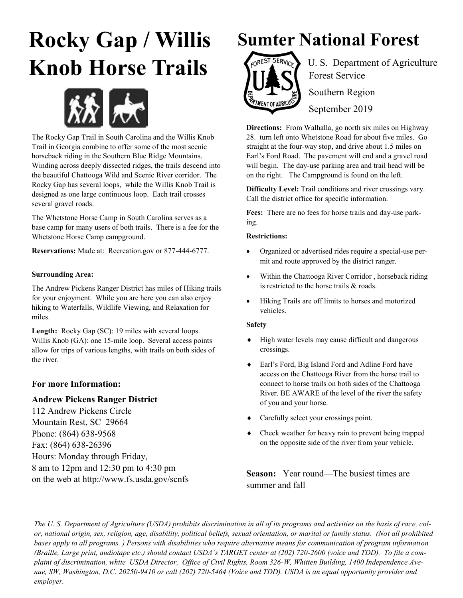# **Rocky Gap / Willis Knob Horse Trails**



The Rocky Gap Trail in South Carolina and the Willis Knob Trail in Georgia combine to offer some of the most scenic horseback riding in the Southern Blue Ridge Mountains. Winding across deeply dissected ridges, the trails descend into the beautiful Chattooga Wild and Scenic River corridor. The Rocky Gap has several loops, while the Willis Knob Trail is designed as one large continuous loop. Each trail crosses several gravel roads.

The Whetstone Horse Camp in South Carolina serves as a base camp for many users of both trails. There is a fee for the Whetstone Horse Camp campground.

**Reservations:** Made at: Recreation.gov or 877-444-6777.

### **Surrounding Area:**

The Andrew Pickens Ranger District has miles of Hiking trails for your enjoyment. While you are here you can also enjoy hiking to Waterfalls, Wildlife Viewing, and Relaxation for miles.

Length: Rocky Gap (SC): 19 miles with several loops. Willis Knob (GA): one 15-mile loop. Several access points allow for trips of various lengths, with trails on both sides of the river.

## **For more Information:**

### **Andrew Pickens Ranger District**

112 Andrew Pickens Circle Mountain Rest, SC 29664 Phone: (864) 638-9568 Fax: (864) 638-26396 Hours: Monday through Friday, 8 am to 12pm and 12:30 pm to 4:30 pm on the web at http://www.fs.usda.gov/scnfs

# **Sumter National Forest**



 $E_{f0}$ REST SERVICES U.S. Department of Agriculture Forest Service Southern Region September 2019

**Directions:** From Walhalla, go north six miles on Highway 28. turn left onto Whetstone Road for about five miles. Go straight at the four-way stop, and drive about 1.5 miles on Earl's Ford Road. The pavement will end and a gravel road will begin. The day-use parking area and trail head will be on the right. The Campground is found on the left.

**Difficulty Level:** Trail conditions and river crossings vary. Call the district office for specific information.

**Fees:** There are no fees for horse trails and day-use parking.

#### **Restrictions:**

- Organized or advertised rides require a special-use permit and route approved by the district ranger.
- Within the Chattooga River Corridor, horseback riding is restricted to the horse trails & roads.
- Hiking Trails are off limits to horses and motorized vehicles.

#### **Safety**

- High water levels may cause difficult and dangerous crossings.
- Earl's Ford, Big Island Ford and Adline Ford have access on the Chattooga River from the horse trail to connect to horse trails on both sides of the Chattooga River. BE AWARE of the level of the river the safety of you and your horse.
- Carefully select your crossings point.
- Check weather for heavy rain to prevent being trapped on the opposite side of the river from your vehicle.

**Season:** Year round—The busiest times are summer and fall

*The U. S. Department of Agriculture (USDA) prohibits discrimination in all of its programs and activities on the basis of race, color, national origin, sex, religion, age, disability, political beliefs, sexual orientation, or marital or family status. (Not all prohibited bases apply to all programs. ) Persons with disabilities who require alternative means for communication of program information (Braille, Large print, audiotape etc.) should contact USDA's TARGET center at (202) 720-2600 (voice and TDD). To file a complaint of discrimination, white USDA Director, Office of Civil Rights, Room 326-W, Whitten Building, 1400 Independence Avenue, SW, Washington, D.C. 20250-9410 or call (202) 720-5464 (Voice and TDD). USDA is an equal opportunity provider and employer.*